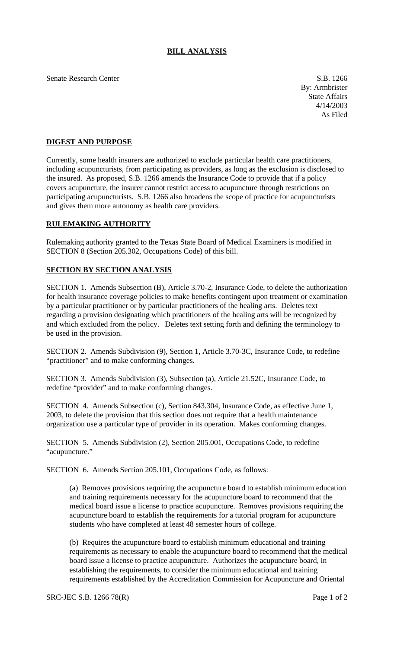## **BILL ANALYSIS**

Senate Research Center S.B. 1266

By: Armbrister State Affairs 4/14/2003 As Filed

## **DIGEST AND PURPOSE**

Currently, some health insurers are authorized to exclude particular health care practitioners, including acupuncturists, from participating as providers, as long as the exclusion is disclosed to the insured. As proposed, S.B. 1266 amends the Insurance Code to provide that if a policy covers acupuncture, the insurer cannot restrict access to acupuncture through restrictions on participating acupuncturists. S.B. 1266 also broadens the scope of practice for acupuncturists and gives them more autonomy as health care providers.

## **RULEMAKING AUTHORITY**

Rulemaking authority granted to the Texas State Board of Medical Examiners is modified in SECTION 8 (Section 205.302, Occupations Code) of this bill.

## **SECTION BY SECTION ANALYSIS**

SECTION 1. Amends Subsection (B), Article 3.70-2, Insurance Code, to delete the authorization for health insurance coverage policies to make benefits contingent upon treatment or examination by a particular practitioner or by particular practitioners of the healing arts. Deletes text regarding a provision designating which practitioners of the healing arts will be recognized by and which excluded from the policy. Deletes text setting forth and defining the terminology to be used in the provision.

SECTION 2. Amends Subdivision (9), Section 1, Article 3.70-3C, Insurance Code, to redefine "practitioner" and to make conforming changes.

SECTION 3. Amends Subdivision (3), Subsection (a), Article 21.52C, Insurance Code, to redefine "provider" and to make conforming changes.

SECTION 4. Amends Subsection (c), Section 843.304, Insurance Code, as effective June 1, 2003, to delete the provision that this section does not require that a health maintenance organization use a particular type of provider in its operation. Makes conforming changes.

SECTION 5. Amends Subdivision (2), Section 205.001, Occupations Code, to redefine "acupuncture."

SECTION 6. Amends Section 205.101, Occupations Code, as follows:

(a) Removes provisions requiring the acupuncture board to establish minimum education and training requirements necessary for the acupuncture board to recommend that the medical board issue a license to practice acupuncture. Removes provisions requiring the acupuncture board to establish the requirements for a tutorial program for acupuncture students who have completed at least 48 semester hours of college.

(b) Requires the acupuncture board to establish minimum educational and training requirements as necessary to enable the acupuncture board to recommend that the medical board issue a license to practice acupuncture. Authorizes the acupuncture board, in establishing the requirements, to consider the minimum educational and training requirements established by the Accreditation Commission for Acupuncture and Oriental